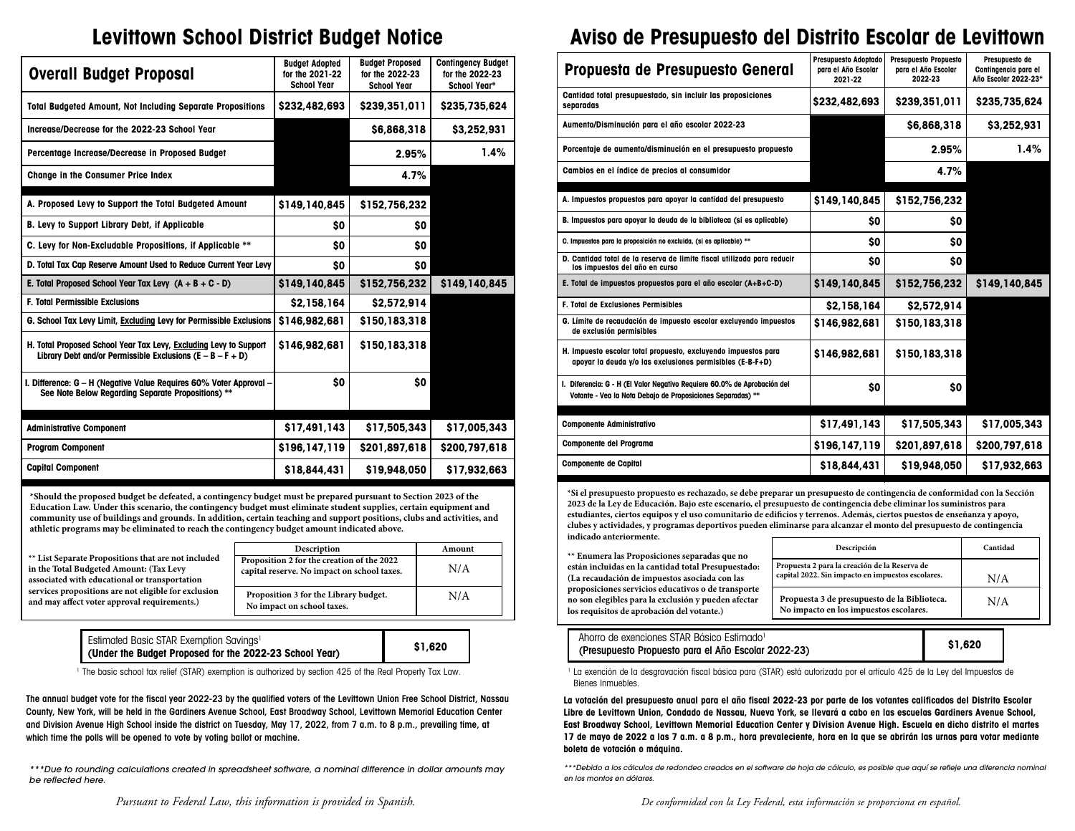## **Levittown School District Budget Notice**

| Overall Budget Proposal                                                                                                           | <b>Budget Adopted</b><br>for the 2021-22<br><b>School Year</b> | <b>Budget Proposed</b><br>for the 2022-23<br><b>School Year</b> | <b>Contingency Budget</b><br>for the 2022-23<br>School Year* |
|-----------------------------------------------------------------------------------------------------------------------------------|----------------------------------------------------------------|-----------------------------------------------------------------|--------------------------------------------------------------|
| <b>Total Budgeted Amount, Not Including Separate Propositions</b>                                                                 | \$232,482,693                                                  | \$239,351,011                                                   | \$235,735,624                                                |
| Increase/Decrease for the 2022-23 School Year                                                                                     |                                                                | \$6,868,318                                                     | \$3,252,931                                                  |
| Percentage Increase/Decrease in Proposed Budget                                                                                   |                                                                | 2.95%                                                           | 1.4%                                                         |
| <b>Change in the Consumer Price Index</b>                                                                                         |                                                                | 4.7%                                                            |                                                              |
| A. Proposed Levy to Support the Total Budgeted Amount                                                                             | \$149,140,845                                                  | \$152,756,232                                                   |                                                              |
| B. Levy to Support Library Debt, if Applicable                                                                                    | \$O                                                            | \$0                                                             |                                                              |
| C. Levy for Non-Excludable Propositions, if Applicable **                                                                         | \$O                                                            | \$0                                                             |                                                              |
| D. Total Tax Cap Reserve Amount Used to Reduce Current Year Levy                                                                  | \$O                                                            | \$0                                                             |                                                              |
| E. Total Proposed School Year Tax Levy $(A + B + C - D)$                                                                          | \$149,140.845                                                  | \$152,756,232                                                   | \$149,140,845                                                |
| <b>F. Total Permissible Exclusions</b>                                                                                            | \$2,158,164                                                    | \$2,572,914                                                     |                                                              |
| G. School Tax Levy Limit, Excluding Levy for Permissible Exclusions                                                               | \$146,982,681                                                  | \$150,183,318                                                   |                                                              |
| H. Total Proposed School Year Tax Levy, Excluding Levy to Support<br>Library Debt and/or Permissible Exclusions $(E - B - F + D)$ | \$146,982,681                                                  | \$150,183,318                                                   |                                                              |
| I. Difference: G - H (Negative Value Requires 60% Voter Approval -<br>See Note Below Regarding Separate Propositions) **          | \$O                                                            | \$O                                                             |                                                              |
| <b>Administrative Component</b>                                                                                                   | \$17,491,143                                                   | \$17,505,343                                                    | \$17,005,343                                                 |
| <b>Program Component</b>                                                                                                          | \$196,147,119                                                  | \$201,897,618                                                   | \$200,797,618                                                |
| <b>Capital Component</b>                                                                                                          | \$18,844.431                                                   | \$19,948,050                                                    | \$17,932,663                                                 |

**\*Should the proposed budget be defeated, a contingency budget must be prepared pursuant to Section 2023 of the Education Law. Under this scenario, the contingency budget must eliminate student supplies, certain equipment and community use of buildings and grounds. In addition, certain teaching and support positions, clubs and activities, and athletic programs may be eliminated to reach the contingency budget amount indicated above.**

|                                                                                                                                                 | <b>Description</b>                                                                        | Amount |
|-------------------------------------------------------------------------------------------------------------------------------------------------|-------------------------------------------------------------------------------------------|--------|
| ** List Separate Propositions that are not included<br>in the Total Budgeted Amount: (Tax Levy<br>associated with educational or transportation | Proposition 2 for the creation of the 2022<br>capital reserve. No impact on school taxes. | N/A    |
| services propositions are not eligible for exclusion<br>and may affect voter approval requirements.)                                            | Proposition 3 for the Library budget.<br>No impact on school taxes.                       | N/A    |

| Estimated Basic STAR Exemption Savings <sup>1</sup>     |  |
|---------------------------------------------------------|--|
| (Under the Budget Proposed for the 2022-23 School Year) |  |

1 The basic school tax relief (STAR) exemption is authorized by section 425 of the Real Property Tax Law.

**\$1,620**

The annual budget vote for the fiscal year 2022-23 by the qualified voters of the Levittown Union Free School District, Nassau County, New York, will be held in the Gardiners Avenue School, East Broadway School, Levittown Memorial Education Center and Division Avenue High School inside the district on Tuesday, May 17, 2022, from 7 a.m. to 8 p.m., prevailing time, at which time the polls will be opened to vote by voting ballot or machine.

*\*\*\*Due to rounding calculations created in spreadsheet software, a nominal difference in dollar amounts may be reflected here.*

## **Aviso de Presupuesto del Distrito Escolar de Levittown**

| Propuesta de Presupuesto General                                                                                                        | <b>Presupuesto Adoptado</b><br>para el Año Escolar<br>2021-22 | <b>Presupuesto Propuesto</b><br>para el Año Escolar<br>2022-23 | Presupuesto de<br>Contingencia para el<br>Año Escolar 2022-23* |
|-----------------------------------------------------------------------------------------------------------------------------------------|---------------------------------------------------------------|----------------------------------------------------------------|----------------------------------------------------------------|
| Cantidad total presupuestado, sin incluir las proposiciones<br>separadas                                                                | \$232,482,693                                                 | \$239,351,011                                                  | \$235,735,624                                                  |
| Aumento/Disminución para el año escolar 2022-23                                                                                         |                                                               | \$6,868,318                                                    | \$3,252,931                                                    |
| Porcentaje de aumento/disminución en el presupuesto propuesto                                                                           |                                                               | 2.95%                                                          | 1.4%                                                           |
| Cambios en el índice de precios al consumidor                                                                                           |                                                               | 4.7%                                                           |                                                                |
| A. Impuestos propuestos para apoyar la cantidad del presupuesto                                                                         | \$149,140,845                                                 | \$152,756,232                                                  |                                                                |
| B. Impuestos para apoyar la deuda de la biblioteca (si es aplicable)                                                                    | \$0                                                           | \$O                                                            |                                                                |
| C. Impuestos para la proposición no excluida, (si es aplicable) **                                                                      | \$0                                                           | \$O                                                            |                                                                |
| D. Cantidad total de la reserva de limite fiscal utilizada para reducir<br>los impuestos del año en curso                               | \$O                                                           | \$O                                                            |                                                                |
| E. Total de impuestos propuestos para el año escolar (A+B+C-D)                                                                          | \$149,140,845                                                 | \$152,756,232                                                  | \$149,140,845                                                  |
| <b>F. Total de Exclusiones Permisibles</b>                                                                                              | \$2,158,164                                                   | \$2,572,914                                                    |                                                                |
| G. Límite de recaudación de impuesto escolar excluyendo impuestos<br>de exclusión permisibles                                           | \$146,982,681                                                 | \$150,183,318                                                  |                                                                |
| H. Impuesto escolar total propuesto, excluyendo impuestos para<br>apoyar la deuda y/o las exclusiones permisibles (E-B-F+D)             | \$146,982,681                                                 | \$150,183,318                                                  |                                                                |
| I. Diferencia: G - H (El Valor Negativo Requiere 60.0% de Aprobación del<br>Votante - Vea la Nota Debajo de Proposiciones Separadas) ** | \$0                                                           | \$O                                                            |                                                                |
| <b>Componente Administrativo</b>                                                                                                        | \$17,491,143                                                  | \$17,505,343                                                   | \$17,005,343                                                   |
| Componente del Programa                                                                                                                 | \$196,147,119                                                 | \$201,897,618                                                  | \$200,797,618                                                  |
| <b>Componente de Capital</b>                                                                                                            | \$18,844,431                                                  | \$19,948,050                                                   | \$17,932,663                                                   |

**\*Si el presupuesto propuesto es rechazado, se debe preparar un presupuesto de contingencia de conformidad con la Sección 2023 de la Ley de Educación. Bajo este escenario, el presupuesto de contingencia debe eliminar los suministros para estudiantes, ciertos equipos y el uso comunitario de edificios y terrenos. Además, ciertos puestos de enseñanza y apoyo, clubes y actividades, y programas deportivos pueden eliminarse para alcanzar el monto del presupuesto de contingencia indicado anteriormente.**

**\*\* Enumera las Proposiciones separadas que no están incluidas en la cantidad total Presupuestado: (La recaudación de impuestos asociada con las proposiciones servicios educativos o de transporte no son elegibles para la exclusión y pueden afectar los requisitos de aprobación del votante.)**

| Descripción                                                                                        | Cantidad |
|----------------------------------------------------------------------------------------------------|----------|
| Propuesta 2 para la creación de la Reserva de<br>capital 2022. Sin impacto en impuestos escolares. | N/A      |
| Propuesta 3 de presupuesto de la Biblioteca.<br>No impacto en los impuestos escolares.             | N/A      |

| Ahorro de exenciones STAR Básico Estimado <sup>1</sup> |         |  |
|--------------------------------------------------------|---------|--|
| (Presupuesto Propuesto para el Año Escolar 2022-23)    | \$1,620 |  |

<sup>1</sup> La exención de la desgravación fiscal básica para (STAR) está autorizada por el artículo 425 de la Ley del Impuestos de Bienes Inmuebles.

**La votación del presupuesto anual para el año fiscal 2022-23 por parte de los votantes calificados del Distrito Escolar Libre de Levittown Union, Condado de Nassau, Nueva York, se llevará a cabo en las escuelas Gardiners Avenue School, East Broadway School, Levittown Memorial Education Center y Division Avenue High. Escuela en dicho distrito el martes 17 de mayo de 2022 a las 7 a.m. a 8 p.m., hora prevaleciente, hora en la que se abrirán las urnas para votar mediante boleta de votación o máquina.**

*\*\*\*Debido a los cálculos de redondeo creados en el software de hoja de cálculo, es posible que aquí se refleje una diferencia nominal en los montos en dólares.*